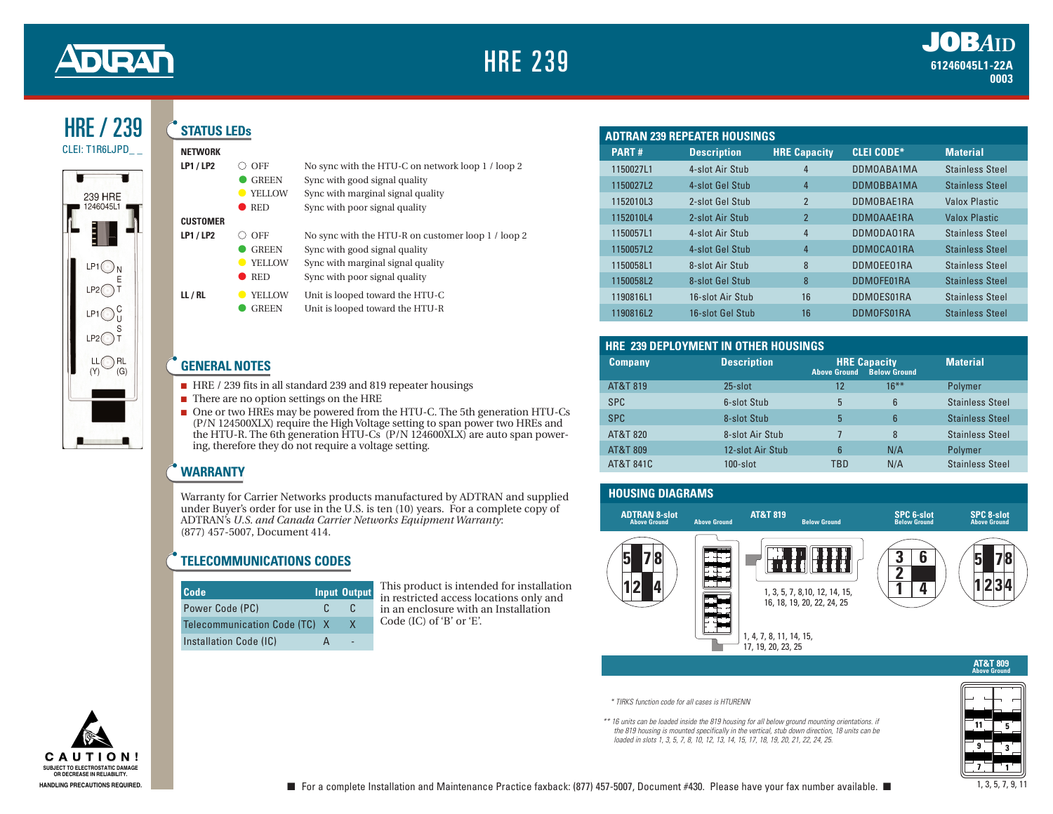

#### HRE / 239 **STATUS LEDs**

#### **NETWORK**

| <b>LP1/LP2</b>  | OFF<br><b>GREEN</b><br><b>YELLOW</b><br><b>RED</b> | No sync with the HTU-C on network loop 1 / loop 2<br>Sync with good signal quality<br>Sync with marginal signal quality<br>Sync with poor signal quality |
|-----------------|----------------------------------------------------|----------------------------------------------------------------------------------------------------------------------------------------------------------|
| <b>CUSTOMER</b> |                                                    |                                                                                                                                                          |
| <b>LP1/LP2</b>  | ∩ off                                              | No sync with the HTU-R on customer loop 1 / loop 2                                                                                                       |
|                 | <b>GREEN</b>                                       | Sync with good signal quality                                                                                                                            |
|                 | <b>YELLOW</b>                                      | Sync with marginal signal quality                                                                                                                        |
|                 | <b>RED</b>                                         | Sync with poor signal quality                                                                                                                            |
| LL/RL           | <b>YELLOW</b><br><b>GREEN</b>                      | Unit is looped toward the HTU-C<br>Unit is looped toward the HTU-R                                                                                       |

#### **GENERAL NOTES**

- HRE / 239 fits in all standard 239 and 819 repeater housings
- There are no option settings on the HRE
- One or two HREs may be powered from the HTU-C. The 5th generation HTU-Cs (P/N 124500XLX) require the High Voltage setting to span power two HREs and the HTU-R. The 6th generation HTU-Cs (P/N 124600XLX) are auto span powering, therefore they do not require a voltage setting.

# **WARRANTY**

Warranty for Carrier Networks products manufactured by ADTRAN and supplied under Buyer's order for use in the U.S. is ten (10) years. For a complete copy of ADTRAN's *U.S. and Canada Carrier Networks Equipment Warranty*: (877) 457-5007, Document 414.

#### **TELECOMMUNICATIONS CODES**

| Code                          |    | <b>Input Output</b> |
|-------------------------------|----|---------------------|
| Power Code (PC)               | £. | £                   |
| Telecommunication Code (TC) X |    | X                   |
| Installation Code (IC)        |    |                     |

This product is intended for installation in restricted access locations only and in an enclosure with an Installation Code (IC) of 'B' or 'E'.

| <b>ADTRAN 239 REPEATER HOUSINGS</b> |                    |                     |                   |                        |
|-------------------------------------|--------------------|---------------------|-------------------|------------------------|
| <b>PART#</b>                        | <b>Description</b> | <b>HRE Capacity</b> | <b>CLEI CODE*</b> | <b>Material</b>        |
| 1150027L1                           | 4-slot Air Stub    | 4                   | DDM0ABA1MA        | <b>Stainless Steel</b> |
| 1150027L2                           | 4-slot Gel Stub    | 4                   | DDM0BBA1MA        | <b>Stainless Steel</b> |
| 1152010L3                           | 2-slot Gel Stub    | $\overline{2}$      | DDM0BAE1RA        | Valox Plastic          |
| 1152010L4                           | 2-slot Air Stub    | $\overline{2}$      | DDM0AAE1RA        | <b>Valox Plastic</b>   |
| 1150057L1                           | 4-slot Air Stub    | 4                   | DDMODA01RA        | <b>Stainless Steel</b> |
| 1150057L2                           | 4-slot Gel Stub    | 4                   | DDMOCA01RA        | <b>Stainless Steel</b> |
| 1150058L1                           | 8-slot Air Stub    | 8                   | DDMOEE01RA        | <b>Stainless Steel</b> |
| 1150058L2                           | 8-slot Gel Stub    | 8                   | DDMOFE01RA        | <b>Stainless Steel</b> |
| 1190816L1                           | 16-slot Air Stub   | 16                  | DDMOES01RA        | <b>Stainless Steel</b> |
| 1190816L2                           | 16-slot Gel Stub   | 16                  | DDMOFS01RA        | <b>Stainless Steel</b> |

## **HRE 239 DEPLOYMENT IN OTHER HOUSINGS**

| <b>Company</b> | <b>Description</b> | <b>Above Ground</b> | <b>HRE Capacity</b><br><b>Below Ground</b> | <b>Material</b>        |
|----------------|--------------------|---------------------|--------------------------------------------|------------------------|
| AT&T 819       | $25$ -slot         | 12                  | $16***$                                    | Polymer                |
| <b>SPC</b>     | 6-slot Stub        | 5                   | 6                                          | <b>Stainless Steel</b> |
| <b>SPC</b>     | 8-slot Stub        | 5                   | 6                                          | <b>Stainless Steel</b> |
| AT&T 820       | 8-slot Air Stub    |                     | 8                                          | <b>Stainless Steel</b> |
| AT&T 809       | 12-slot Air Stub   | 6                   | N/A                                        | Polymer                |
| AT&T 841C      | $100$ -slot        | TBD                 | N/A                                        | <b>Stainless Steel</b> |



*\* TIRKS function code for all cases is HTURENN*

*\*\* 16 units can be loaded inside the 819 housing for all below ground mounting orientations. if the 819 housing is mounted specifically in the vertical, stub down direction, 18 units can be loaded in slots 1, 3, 5, 7, 8, 10, 12, 13, 14, 15, 17, 18, 19, 20, 21, 22, 24, 25.*